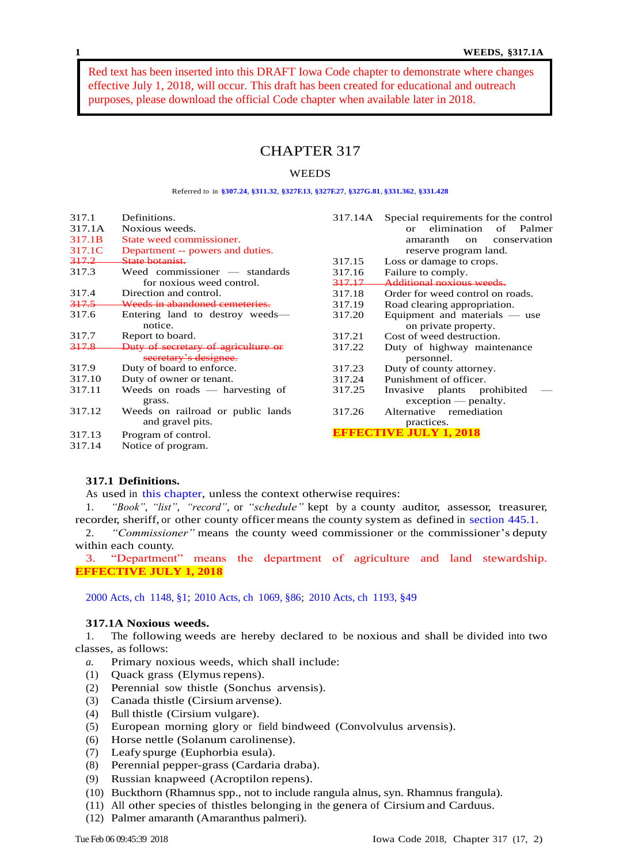Red text has been inserted into this DRAFT Iowa Code chapter to demonstrate where changes effective July 1, 2018, will occur. This draft has been created for educational and outreach purposes, please download the official Code chapter when available later in 2018.

# CHAPTER 317

# **WEEDS**

#### Referred to in **[§307.24](https://www.legis.iowa.gov/docs/code/307.24.pdf)**, **[§311.32](https://www.legis.iowa.gov/docs/code/311.32.pdf)**, **[§327F.13](https://www.legis.iowa.gov/docs/code/327F.13.pdf)**, **[§327F.27](https://www.legis.iowa.gov/docs/code/327F.27.pdf)**, **[§327G.81](https://www.legis.iowa.gov/docs/code/327G.81.pdf)**, **[§331.362](https://www.legis.iowa.gov/docs/code/331.362.pdf)**, **[§331.428](https://www.legis.iowa.gov/docs/code/331.428.pdf)**

| 317.1  | Definitions.                        | 317.14A | Special requirements for the control      |
|--------|-------------------------------------|---------|-------------------------------------------|
| 317.1A | Noxious weeds.                      |         | elimination<br>of Palmer<br>$\alpha$ r    |
| 317.1B | State weed commissioner.            |         | amaranth<br>conservation<br><sub>on</sub> |
| 317.1C | Department -- powers and duties.    |         | reserve program land.                     |
| 317.2  | State botanist.                     | 317.15  | Loss or damage to crops.                  |
| 317.3  | Weed commissioner — standards       | 317.16  | Failure to comply.                        |
|        | for noxious weed control.           | 317.17  | Additional noxious weeds                  |
| 317.4  | Direction and control.              | 317.18  | Order for weed control on roads.          |
| 317.5  | Weeds in abandoned cemeteries.      | 317.19  | Road clearing appropriation.              |
| 317.6  | Entering land to destroy weeds—     | 317.20  | Equipment and materials $-$ use           |
|        | notice.                             |         | on private property.                      |
| 317.7  | Report to board.                    | 317.21  | Cost of weed destruction.                 |
| 317.8  | Duty of secretary of agriculture or | 317.22  | Duty of highway maintenance               |
|        | secretary's designee.               |         | personnel.                                |
| 317.9  | Duty of board to enforce.           | 317.23  | Duty of county attorney.                  |
| 317.10 | Duty of owner or tenant.            | 317.24  | Punishment of officer.                    |
| 317.11 | Weeds on roads $-$ harvesting of    | 317.25  | plants prohibited<br>Invasive             |
|        | grass.                              |         | $exception$ - penalty.                    |
| 317.12 | Weeds on railroad or public lands   | 317.26  | Alternative<br>remediation                |
|        | and gravel pits.                    |         | practices.                                |
| 317.13 | Program of control.                 |         | <b>FECTIVE JULY 1, 2018</b>               |
| 317.14 | Notice of program.                  |         |                                           |

# **317.1 Definitions.**

As used in this [chapter,](https://www.legis.iowa.gov/docs/code/317.pdf) unless the context otherwise requires:

1. *"Book"*, *"list"*, *"record"*, or *"schedule"* kept by a county auditor, assessor, treasurer, recorder, sheriff, or other county officer means the county system as defined in [section](https://www.legis.iowa.gov/docs/code/445.1.pdf) 445.1.

2. *"Commissioner"* means the county weed commissioner or the commissioner's deputy within each county.

3. "Department" means the department of agriculture and land stewardship. **EFFECTIVE JULY 1, 2018**

[2000 Acts, ch](https://www.legis.iowa.gov/docs/acts/2000/CH1148.pdf) 1148, §1; [2010 Acts, ch](https://www.legis.iowa.gov/docs/acts/2010/CH1069.pdf) 1069, §86; [2010 Acts, ch](https://www.legis.iowa.gov/docs/acts/2010/CH1193.pdf) 1193, §49

## **317.1A Noxious weeds.**

1. The following weeds are hereby declared to be noxious and shall be divided into two classes, as follows:

- *a.* Primary noxious weeds, which shall include:
- (1) Quack grass (Elymus repens).
- (2) Perennial sow thistle (Sonchus arvensis).
- (3) Canada thistle (Cirsium arvense).
- (4) Bull thistle (Cirsium vulgare).
- (5) European morning glory or field bindweed (Convolvulus arvensis).
- (6) Horse nettle (Solanum carolinense).
- (7) Leafy spurge (Euphorbia esula).
- (8) Perennial pepper-grass (Cardaria draba).
- (9) Russian knapweed (Acroptilon repens).
- (10) Buckthorn (Rhamnus spp., not to include rangula alnus, syn. Rhamnus frangula).
- (11) All other species of thistles belonging in the genera of Cirsium and Carduus.
- (12) Palmer amaranth (Amaranthus palmeri).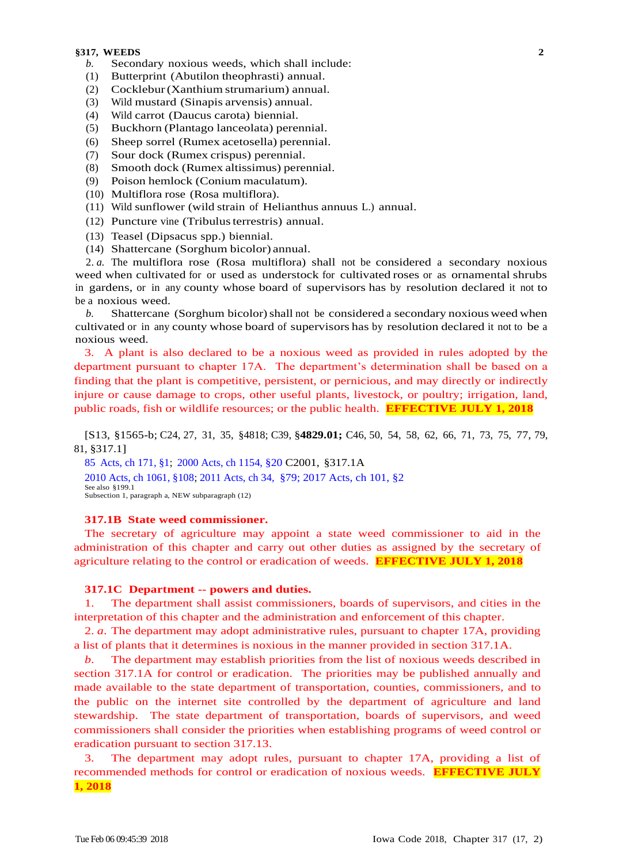- *b.* Secondary noxious weeds, which shall include: **3**
- (1) Butterprint (Abutilon theophrasti) annual.
- (2) Cocklebur(Xanthium strumarium) annual.
- (3) Wild mustard (Sinapis arvensis) annual.
- (4) Wild carrot (Daucus carota) biennial.
- (5) Buckhorn (Plantago lanceolata) perennial.
- (6) Sheep sorrel (Rumex acetosella) perennial.
- (7) Sour dock (Rumex crispus) perennial.
- (8) Smooth dock (Rumex altissimus) perennial.
- (9) Poison hemlock (Conium maculatum).
- (10) Multiflora rose (Rosa multiflora).
- (11) Wild sunflower (wild strain of Helianthus annuus L.) annual.
- (12) Puncture vine (Tribulusterrestris) annual.
- (13) Teasel (Dipsacus spp.) biennial.
- (14) Shattercane (Sorghum bicolor) annual.

2. *a.* The multiflora rose (Rosa multiflora) shall not be considered a secondary noxious weed when cultivated for or used as understock for cultivated roses or as ornamental shrubs in gardens, or in any county whose board of supervisors has by resolution declared it not to be a noxious weed.

*b.* Shattercane (Sorghum bicolor) shall not be considered a secondary noxious weed when cultivated or in any county whose board of supervisors has by resolution declared it not to be a noxious weed.

3. A plant is also declared to be a noxious weed as provided in rules adopted by the department pursuant to chapter 17A. The department's determination shall be based on a finding that the plant is competitive, persistent, or pernicious, and may directly or indirectly injure or cause damage to crops, other useful plants, livestock, or poultry; irrigation, land, public roads, fish or wildlife resources; or the public health. **EFFECTIVE JULY 1, 2018**

[S13, §1565-b; C24, 27, 31, 35, §4818; C39, §**4829.01;** C46, 50, 54, 58, 62, 66, 71, 73, 75, 77, 79, 81, §317.1]

85 [Acts, ch 171, §1;](https://www.legis.iowa.gov/docs/acts/1985/CH0171.pdf) [2000 Acts, ch 1154, §20](https://www.legis.iowa.gov/docs/acts/2000/CH1154.pdf) C2001, §317.1A [2010 Acts, ch 1061, §108;](https://www.legis.iowa.gov/docs/acts/2010/CH1061.pdf) [2011 Acts, ch 34,](https://www.legis.iowa.gov/docs/acts/2011/CH0034.pdf) §79; 2017 Acts, ch 101, §2 See also §199.1 Subsection 1, paragraph a, NEW subparagraph (12)

# **317.1B State weed commissioner.**

The secretary of agriculture may appoint a state weed commissioner to aid in the administration of this chapter and carry out other duties as assigned by the secretary of agriculture relating to the control or eradication of weeds. **EFFECTIVE JULY 1, 2018**

## **317.1C Department -- powers and duties.**

1. The department shall assist commissioners, boards of supervisors, and cities in the interpretation of this chapter and the administration and enforcement of this chapter.

2. *a*. The department may adopt administrative rules, pursuant to chapter 17A, providing a list of plants that it determines is noxious in the manner provided in section 317.1A.

*b*. The department may establish priorities from the list of noxious weeds described in section 317.1A for control or eradication. The priorities may be published annually and made available to the state department of transportation, counties, commissioners, and to the public on the internet site controlled by the department of agriculture and land stewardship. The state department of transportation, boards of supervisors, and weed commissioners shall consider the priorities when establishing programs of weed control or eradication pursuant to section 317.13.

The department may adopt rules, pursuant to chapter 17A, providing a list of recommended methods for control or eradication of noxious weeds. **EFFECTIVE JULY 1, 2018**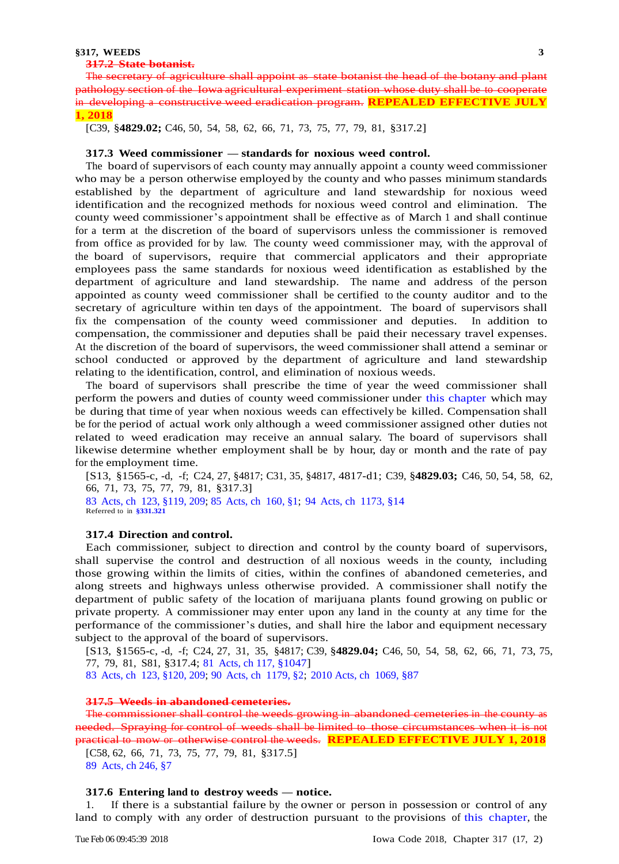#### **317.2 State botanist. 3**

The secretary of agriculture shall appoint as state botanist the head of the botany and plant pathology section of the Iowa agricultural experiment station whose duty shall be to cooperate in developing a constructive weed eradication program. **REPEALED EFFECTIVE JULY 1, 2018**

[C39, §**4829.02;** C46, 50, 54, 58, 62, 66, 71, 73, 75, 77, 79, 81, §317.2]

#### **317.3 Weed commissioner — standards for noxious weed control.**

The board of supervisors of each county may annually appoint a county weed commissioner who may be a person otherwise employed by the county and who passes minimum standards established by the department of agriculture and land stewardship for noxious weed identification and the recognized methods for noxious weed control and elimination. The county weed commissioner's appointment shall be effective as of March 1 and shall continue for a term at the discretion of the board of supervisors unless the commissioner is removed from office as provided for by law. The county weed commissioner may, with the approval of the board of supervisors, require that commercial applicators and their appropriate employees pass the same standards for noxious weed identification as established by the department of agriculture and land stewardship. The name and address of the person appointed as county weed commissioner shall be certified to the county auditor and to the secretary of agriculture within ten days of the appointment. The board of supervisors shall fix the compensation of the county weed commissioner and deputies. In addition to compensation, the commissioner and deputies shall be paid their necessary travel expenses. At the discretion of the board of supervisors, the weed commissioner shall attend a seminar or school conducted or approved by the department of agriculture and land stewardship relating to the identification, control, and elimination of noxious weeds.

The board of supervisors shall prescribe the time of year the weed commissioner shall perform the powers and duties of county weed commissioner under this [chapter](https://www.legis.iowa.gov/docs/code/317.pdf) which may be during that time of year when noxious weeds can effectively be killed. Compensation shall be for the period of actual work only although a weed commissioner assigned other duties not related to weed eradication may receive an annual salary. The board of supervisors shall likewise determine whether employment shall be by hour, day or month and the rate of pay for the employment time.

[S13, §1565-c, -d, -f; C24, 27, §4817; C31, 35, §4817, 4817-d1; C39, §**4829.03;** C46, 50, 54, 58, 62, 66, 71, 73, 75, 77, 79, 81, §317.3] 83 Acts, ch [123, §119, 209;](https://www.legis.iowa.gov/docs/acts/1983/CH0123.pdf) 85 [Acts, ch](https://www.legis.iowa.gov/docs/acts/1985/CH0160.pdf) 160, §1; 94 Acts, ch [1173, §14](https://www.legis.iowa.gov/docs/acts/1994/CH1173.pdf) Referred to in **[§331.321](https://www.legis.iowa.gov/docs/code/331.321.pdf)**

## **317.4 Direction and control.**

Each commissioner, subject to direction and control by the county board of supervisors, shall supervise the control and destruction of all noxious weeds in the county, including those growing within the limits of cities, within the confines of abandoned cemeteries, and along streets and highways unless otherwise provided. A commissioner shall notify the department of public safety of the location of marijuana plants found growing on public or private property. A commissioner may enter upon any land in the county at any time for the performance of the commissioner's duties, and shall hire the labor and equipment necessary subject to the approval of the board of supervisors.

[S13, §1565-c, -d, -f; C24, 27, 31, 35, §4817; C39, §**4829.04;** C46, 50, 54, 58, 62, 66, 71, 73, 75, 77, 79, 81, S81, §317.4; 81 [Acts, ch 117, §1047\]](https://www.legis.iowa.gov/docs/acts/1981/CH0117.pdf)

83 Acts, ch [123, §120, 209;](https://www.legis.iowa.gov/docs/acts/83/CH0123.pdf) 90 Acts, ch [1179, §2;](https://www.legis.iowa.gov/docs/acts/90/CH1179.pdf) [2010 Acts, ch](https://www.legis.iowa.gov/docs/acts/2010/CH1069.pdf) 1069, §87

## **317.5 Weeds in abandoned cemeteries.**

The commissioner shall control the weeds growing in abandoned cemeteries in the county needed. Spraying for control of weeds shall be limited to those circumstances when it practical to mow or otherwise control the weeds. **REPEALED EFFECTIVE JULY 1, 2018**

[C58, 62, 66, 71, 73, 75, 77, 79, 81, §317.5] 89 [Acts, ch 246, §7](https://www.legis.iowa.gov/docs/acts/1989/CH0246.pdf)

# **317.6 Entering land to destroy weeds — notice.**

If there is a substantial failure by the owner or person in possession or control of any land to comply with any order of destruction pursuant to the provisions of this [chapter,](https://www.legis.iowa.gov/docs/code/317.pdf) the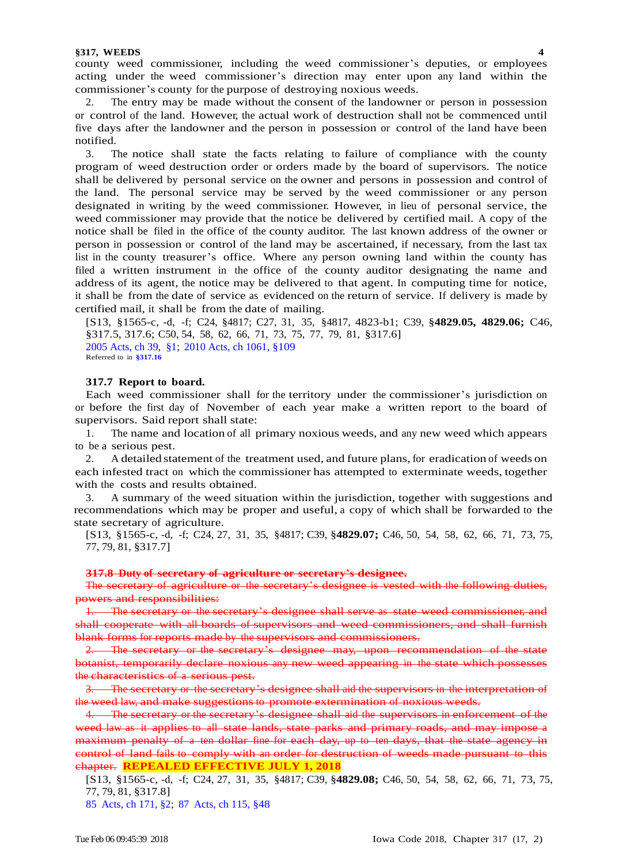county weed commissioner, including the weed commissioner's deputies, or employees **3** acting under the weed commissioner's direction may enter upon any land within the commissioner's county for the purpose of destroying noxious weeds.

2. The entry may be made without the consent of the landowner or person in possession or control of the land. However, the actual work of destruction shall not be commenced until five days after the landowner and the person in possession or control of the land have been notified.

3. The notice shall state the facts relating to failure of compliance with the county program of weed destruction order or orders made by the board of supervisors. The notice shall be delivered by personal service on the owner and persons in possession and control of the land. The personal service may be served by the weed commissioner or any person designated in writing by the weed commissioner. However, in lieu of personal service, the weed commissioner may provide that the notice be delivered by certified mail. A copy of the notice shall be filed in the office of the county auditor. The last known address of the owner or person in possession or control of the land may be ascertained, if necessary, from the last tax list in the county treasurer's office. Where any person owning land within the county has filed a written instrument in the office of the county auditor designating the name and address of its agent, the notice may be delivered to that agent. In computing time for notice, it shall be from the date of service as evidenced on the return of service. If delivery is made by certified mail, it shall be from the date of mailing.

[S13, §1565-c, -d, -f; C24, §4817; C27, 31, 35, §4817, 4823-b1; C39, §**4829.05, 4829.06;** C46, §317.5, 317.6; C50, 54, 58, 62, 66, 71, 73, 75, 77, 79, 81, §317.6] [2005 Acts, ch](https://www.legis.iowa.gov/docs/acts/2005/CH0039.pdf) 39, §1; [2010 Acts, ch 1061, §109](https://www.legis.iowa.gov/docs/acts/2010/CH1061.pdf) Referred to in **[§317.16](https://www.legis.iowa.gov/docs/code/317.16.pdf)**

# **317.7 Report to board.**

Each weed commissioner shall for the territory under the commissioner's jurisdiction on or before the first day of November of each year make a written report to the board of supervisors. Said report shall state:

1. The name and location of all primary noxious weeds, and any new weed which appears to be a serious pest.

2. A detailed statement of the treatment used, and future plans, for eradication of weeds on each infested tract on which the commissioner has attempted to exterminate weeds, together with the costs and results obtained.

3. A summary of the weed situation within the jurisdiction, together with suggestions and recommendations which may be proper and useful, a copy of which shall be forwarded to the state secretary of agriculture.

[S13, §1565-c, -d, -f; C24, 27, 31, 35, §4817; C39, §**4829.07;** C46, 50, 54, 58, 62, 66, 71, 73, 75, 77, 79, 81, §317.7]

#### **317.8 Duty of secretary of agriculture or secretary's designee.**

The secretary of agriculture or the secretary's designee is vested with the following duties, powers and responsibilities:

1. The secretary or the secretary's designee shall serve as state weed commissioner, and shall cooperate with all boards of supervisors and weed commissioners, and shall furnish blank forms for reports made by the supervisors and commissioners.

2. The secretary or the secretary's designee may, upon recommendation of the state botanist, temporarily declare noxious any new weed appearing in the state which possesses the characteristics of a serious pest.

The secretary or the secretary's designee shall aid the supervisors in the interpretation of the weed law, and make suggestions to promote extermination of noxious weeds.

4. The secretary or the secretary's designee shall aid the supervisors in enforcement of the weed law as it applies to all state lands, state parks and primary roads, and may impose a maximum penalty of a ten dollar fine for each day, up to ten days, that the state agency in control of land fails to comply with an order for destruction of weeds made pursuant to [this](https://www.legis.iowa.gov/docs/code/317.pdf)  [chapter.](https://www.legis.iowa.gov/docs/code/317.pdf) **REPEALED EFFECTIVE JULY 1, 2018**

[S13, §1565-c, -d, -f; C24, 27, 31, 35, §4817; C39, §**4829.08;** C46, 50, 54, 58, 62, 66, 71, 73, 75, 77, 79, 81, §317.8]

85 [Acts, ch 171, §2;](https://www.legis.iowa.gov/docs/acts/1985/CH0171.pdf) 87 [Acts, ch 115, §48](https://www.legis.iowa.gov/docs/acts/1987/CH0115.pdf)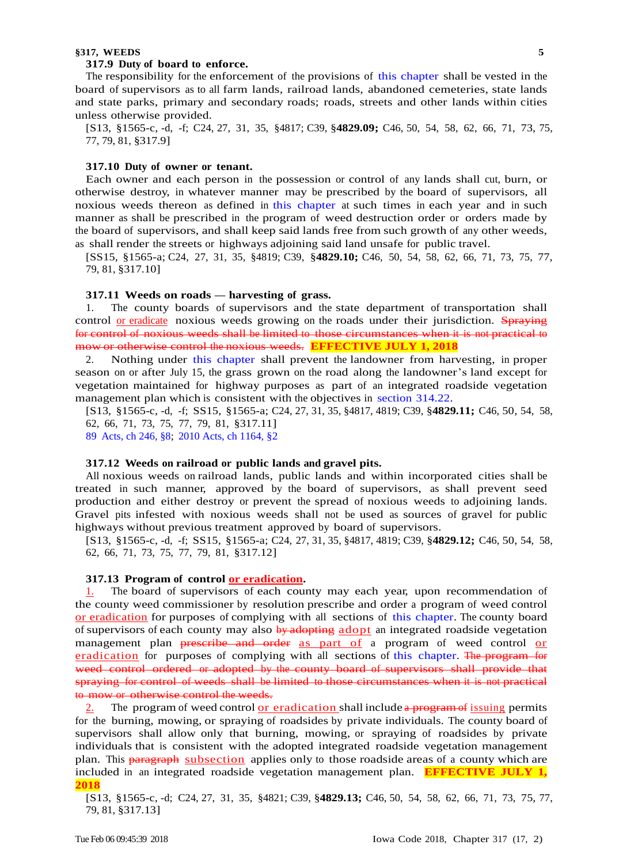#### **317.9 Duty of board to enforce. 3**

The responsibility for the enforcement of the provisions of this [chapter](https://www.legis.iowa.gov/docs/code/317.pdf) shall be vested in the board of supervisors as to all farm lands, railroad lands, abandoned cemeteries, state lands and state parks, primary and secondary roads; roads, streets and other lands within cities unless otherwise provided.

[S13, §1565-c, -d, -f; C24, 27, 31, 35, §4817; C39, §**4829.09;** C46, 50, 54, 58, 62, 66, 71, 73, 75, 77, 79, 81, §317.9]

## **317.10 Duty of owner or tenant.**

Each owner and each person in the possession or control of any lands shall cut, burn, or otherwise destroy, in whatever manner may be prescribed by the board of supervisors, all noxious weeds thereon as defined in this [chapter](https://www.legis.iowa.gov/docs/code/317.pdf) at such times in each year and in such manner as shall be prescribed in the program of weed destruction order or orders made by the board of supervisors, and shall keep said lands free from such growth of any other weeds, as shall render the streets or highways adjoining said land unsafe for public travel.

[SS15, §1565-a; C24, 27, 31, 35, §4819; C39, §**4829.10;** C46, 50, 54, 58, 62, 66, 71, 73, 75, 77, 79, 81, §317.10]

## **317.11 Weeds on roads — harvesting of grass.**

1. The county boards of supervisors and the state department of transportation shall control or eradicate noxious weeds growing on the roads under their jurisdiction. Spraying for control of noxious weeds shall be limited to those circumstances when it is not practical to mow or otherwise control the noxious weeds. **EFFECTIVE JULY 1, 2018**

2. Nothing under this [chapter](https://www.legis.iowa.gov/docs/code/317.pdf) shall prevent the landowner from harvesting, in proper season on or after July 15, the grass grown on the road along the landowner's land except for vegetation maintained for highway purposes as part of an integrated roadside vegetation management plan which is consistent with the objectives in section [314.22.](https://www.legis.iowa.gov/docs/code/314.22.pdf)

[S13, §1565-c, -d, -f; SS15, §1565-a; C24, 27, 31, 35, §4817, 4819; C39, §**4829.11;** C46, 50, 54, 58, 62, 66, 71, 73, 75, 77, 79, 81, §317.11]

89 [Acts, ch 246, §8;](https://www.legis.iowa.gov/docs/acts/89/CH0246.pdf) [2010 Acts, ch 1164, §2](https://www.legis.iowa.gov/docs/acts/2010/CH1164.pdf)

#### **317.12 Weeds on railroad or public lands and gravel pits.**

All noxious weeds on railroad lands, public lands and within incorporated cities shall be treated in such manner, approved by the board of supervisors, as shall prevent seed production and either destroy or prevent the spread of noxious weeds to adjoining lands. Gravel pits infested with noxious weeds shall not be used as sources of gravel for public highways without previous treatment approved by board of supervisors.

[S13, §1565-c, -d, -f; SS15, §1565-a; C24, 27, 31, 35, §4817, 4819; C39, §**4829.12;** C46, 50, 54, 58, 62, 66, 71, 73, 75, 77, 79, 81, §317.12]

# **317.13 Program of control or eradication.**

1. The board of supervisors of each county may each year, upon recommendation of the county weed commissioner by resolution prescribe and order a program of weed control or eradication for purposes of complying with all sections of this [chapter.](https://www.legis.iowa.gov/docs/code/317.pdf) The county board of supervisors of each county may also by adopting adopt an integrated roadside vegetation management plan preseribe and order as part of a program of weed control or eradication for purposes of complying with all sections of this [chapter.](https://www.legis.iowa.gov/docs/code/317.pdf) The program for weed control ordered or adopted by the county board of supervisors shall provide that spraying for control of weeds shall be limited to those circumstances when it is not practical to mow or otherwise control the weeds.

The program of weed control or eradication shall include a program of issuing permits for the burning, mowing, or spraying of roadsides by private individuals. The county board of supervisors shall allow only that burning, mowing, or spraying of roadsides by private individuals that is consistent with the adopted integrated roadside vegetation management plan. This paragraph subsection applies only to those roadside areas of a county which are included in an integrated roadside vegetation management plan. **EFFECTIVE JULY 1, 2018**

[S13, §1565-c, -d; C24, 27, 31, 35, §4821; C39, §**4829.13;** C46, 50, 54, 58, 62, 66, 71, 73, 75, 77, 79, 81, §317.13]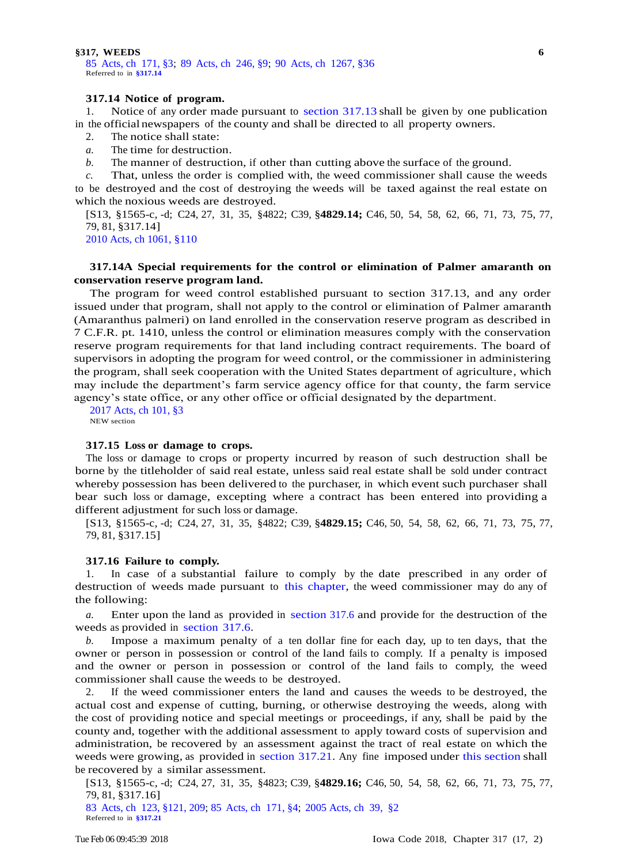85 Acts, ch [171, §3;](https://www.legis.iowa.gov/docs/acts/1985/CH0171.pdf) 89 Acts, ch [246, §9;](https://www.legis.iowa.gov/docs/acts/1989/CH0246.pdf) 90 Acts, ch [1267, §36](https://www.legis.iowa.gov/docs/acts/1990/CH1267.pdf) **3** Referred to in **[§317.14](https://www.legis.iowa.gov/docs/code/317.14.pdf)**

# **317.14 Notice of program.**

1. Notice of any order made pursuant to [section](https://www.legis.iowa.gov/docs/code/317.13.pdf) 317.13 shall be given by one publication in the official newspapers of the county and shall be directed to all property owners.

2. The notice shall state:

*a.* The time for destruction.

*b.* The manner of destruction, if other than cutting above the surface of the ground.

*c.* That, unless the order is complied with, the weed commissioner shall cause the weeds to be destroyed and the cost of destroying the weeds will be taxed against the real estate on which the noxious weeds are destroyed.

[S13, §1565-c, -d; C24, 27, 31, 35, §4822; C39, §**4829.14;** C46, 50, 54, 58, 62, 66, 71, 73, 75, 77, 79, 81, §317.14]

[2010 Acts, ch 1061, §110](https://www.legis.iowa.gov/docs/acts/2010/CH1061.pdf)

# **317.14A Special requirements for the control or elimination of Palmer amaranth on conservation reserve program land.**

The program for weed control established pursuant to section 317.13, and any order issued under that program, shall not apply to the control or elimination of Palmer amaranth (Amaranthus palmeri) on land enrolled in the conservation reserve program as described in 7 C.F.R. pt. 1410, unless the control or elimination measures comply with the conservation reserve program requirements for that land including contract requirements. The board of supervisors in adopting the program for weed control, or the commissioner in administering the program, shall seek cooperation with the United States department of agriculture, which may include the department's farm service agency office for that county, the farm service agency's state office, or any other office or official designated by the department.

2017 Acts, ch 101, §3 NEW section

## **317.15 Loss or damage to crops.**

The loss or damage to crops or property incurred by reason of such destruction shall be borne by the titleholder of said real estate, unless said real estate shall be sold under contract whereby possession has been delivered to the purchaser, in which event such purchaser shall bear such loss or damage, excepting where a contract has been entered into providing a different adjustment for such loss or damage.

[S13, §1565-c, -d; C24, 27, 31, 35, §4822; C39, §**4829.15;** C46, 50, 54, 58, 62, 66, 71, 73, 75, 77, 79, 81, §317.15]

#### **317.16 Failure to comply.**

1. In case of a substantial failure to comply by the date prescribed in any order of destruction of weeds made pursuant to this [chapter,](https://www.legis.iowa.gov/docs/code/317.pdf) the weed commissioner may do any of the following:

*a.* Enter upon the land as provided in [section](https://www.legis.iowa.gov/docs/code/317.6.pdf) 317.6 and provide for the destruction of the weeds as provided in [section](https://www.legis.iowa.gov/docs/code/317.6.pdf) 317.6.

*b.* Impose a maximum penalty of a ten dollar fine for each day, up to ten days, that the owner or person in possession or control of the land fails to comply. If a penalty is imposed and the owner or person in possession or control of the land fails to comply, the weed commissioner shall cause the weeds to be destroyed.

2. If the weed commissioner enters the land and causes the weeds to be destroyed, the actual cost and expense of cutting, burning, or otherwise destroying the weeds, along with the cost of providing notice and special meetings or proceedings, if any, shall be paid by the county and, together with the additional assessment to apply toward costs of supervision and administration, be recovered by an assessment against the tract of real estate on which the weeds were growing, as provided in section [317.21.](https://www.legis.iowa.gov/docs/code/317.21.pdf) Any fine imposed under this [section](https://www.legis.iowa.gov/docs/code/317.16.pdf) shall be recovered by a similar assessment.

[S13, §1565-c, -d; C24, 27, 31, 35, §4823; C39, §**4829.16;** C46, 50, 54, 58, 62, 66, 71, 73, 75, 77, 79, 81, §317.16]

83 Acts, ch [123, §121, 209;](https://www.legis.iowa.gov/docs/acts/1983/CH0123.pdf) 85 [Acts, ch](https://www.legis.iowa.gov/docs/acts/1985/CH0171.pdf) 171, §4; [2005 Acts, ch](https://www.legis.iowa.gov/docs/acts/2005/CH0039.pdf) 39, §2 Referred to in **[§317.21](https://www.legis.iowa.gov/docs/code/317.21.pdf)**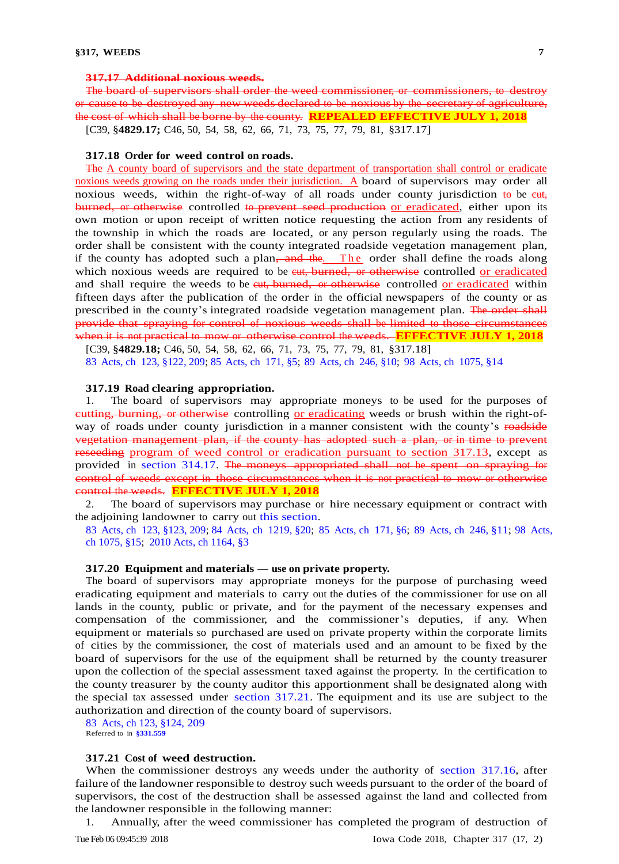## **317.17 Additional noxious weeds.**

The board of supervisors shall order the weed commissioner, or commissioners, to destroy or cause to be destroyed any new weeds declared to be noxious by the secretary of agriculture, the cost of which shall be borne by the county. **REPEALED EFFECTIVE JULY 1, 2018** [C39, §**4829.17;** C46, 50, 54, 58, 62, 66, 71, 73, 75, 77, 79, 81, §317.17]

#### **317.18 Order for weed control on roads.**

The A county board of supervisors and the state department of transportation shall control or eradicate noxious weeds growing on the roads under their jurisdiction. A board of supervisors may order all noxious weeds, within the right-of-way of all roads under county jurisdiction  $\leftrightarrow$  be ext, burned, or otherwise controlled to prevent seed production or eradicated, either upon its own motion or upon receipt of written notice requesting the action from any residents of the township in which the roads are located, or any person regularly using the roads. The order shall be consistent with the county integrated roadside vegetation management plan, if the county has adopted such a plan,  $\frac{1}{2}$  and  $\frac{1}{2}$  the order shall define the roads along which noxious weeds are required to be eut, burned, or otherwise controlled or eradicated and shall require the weeds to be eut, burned, or otherwise controlled or eradicated within fifteen days after the publication of the order in the official newspapers of the county or as prescribed in the county's integrated roadside vegetation management plan. The order shall provide that spraying for control of noxious weeds shall be limited to those circumstances when it is not practical to mow or otherwise control the weeds. **EFFECTIVE JULY 1, 2018**

[C39, §**4829.18;** C46, 50, 54, 58, 62, 66, 71, 73, 75, 77, 79, 81, §317.18] 83 Acts, ch 123, [§122, 209;](https://www.legis.iowa.gov/docs/acts/1983/CH0123.pdf) 85 Acts, ch [171, §5;](https://www.legis.iowa.gov/docs/acts/1985/CH0171.pdf) 89 Acts, ch [246, §10;](https://www.legis.iowa.gov/docs/acts/1989/CH0246.pdf) 98 Acts, ch [1075, §14](https://www.legis.iowa.gov/docs/acts/1998/CH1075.pdf)

#### **317.19 Road clearing appropriation.**

1. The board of supervisors may appropriate moneys to be used for the purposes of cutting, burning, or otherwise controlling or eradicating weeds or brush within the right-ofway of roads under county jurisdiction in a manner consistent with the county's roadside vegetation management plan, if the county has adopted such a plan, or in time to prevent reseeding program of weed control or eradication pursuant to section 317.13, except as provided in [section 314.17.](https://www.legis.iowa.gov/docs/code/314.17.pdf) The moneys appropriated shall not be spent on spraying for control of weeds except in those circumstances when it is not practical to mow or otherwise control the weeds. **EFFECTIVE JULY 1, 2018**

2. The board of supervisors may purchase or hire necessary equipment or contract with the adjoining landowner to carry out this [section.](https://www.legis.iowa.gov/docs/code/317.19.pdf)

83 Acts, ch [123, §123, 209;](https://www.legis.iowa.gov/docs/acts/83/CH0123.pdf) 84 Acts, ch [1219, §20;](https://www.legis.iowa.gov/docs/acts/84/CH1219.pdf) 85 [Acts, ch](https://www.legis.iowa.gov/docs/acts/85/CH0171.pdf) 171, §6; 89 Acts, ch [246, §11;](https://www.legis.iowa.gov/docs/acts/89/CH0246.pdf) 98 [Acts,](https://www.legis.iowa.gov/docs/acts/98/CH1075.pdf)  [ch 1075, §15;](https://www.legis.iowa.gov/docs/acts/98/CH1075.pdf) [2010 Acts, ch 1164, §3](https://www.legis.iowa.gov/docs/acts/2010/CH1164.pdf)

#### **317.20 Equipment and materials — use on private property.**

The board of supervisors may appropriate moneys for the purpose of purchasing weed eradicating equipment and materials to carry out the duties of the commissioner for use on all lands in the county, public or private, and for the payment of the necessary expenses and compensation of the commissioner, and the commissioner's deputies, if any. When equipment or materials so purchased are used on private property within the corporate limits of cities by the commissioner, the cost of materials used and an amount to be fixed by the board of supervisors for the use of the equipment shall be returned by the county treasurer upon the collection of the special assessment taxed against the property. In the certification to the county treasurer by the county auditor this apportionment shall be designated along with the special tax assessed under section [317.21.](https://www.legis.iowa.gov/docs/code/317.21.pdf) The equipment and its use are subject to the authorization and direction of the county board of supervisors.

83 [Acts, ch 123, §124, 209](https://www.legis.iowa.gov/docs/acts/1983/CH0123.pdf) Referred to in **[§331.559](https://www.legis.iowa.gov/docs/code/331.559.pdf)**

# **317.21 Cost of weed destruction.**

When the commissioner destroys any weeds under the authority of section [317.16,](https://www.legis.iowa.gov/docs/code/317.16.pdf) after failure of the landowner responsible to destroy such weeds pursuant to the order of the board of supervisors, the cost of the destruction shall be assessed against the land and collected from the landowner responsible in the following manner:

1. Annually, after the weed commissioner has completed the program of destruction of

Tue Feb 06 09:45:39 2018 Iowa Code 2018, Chapter 317 (17, 2)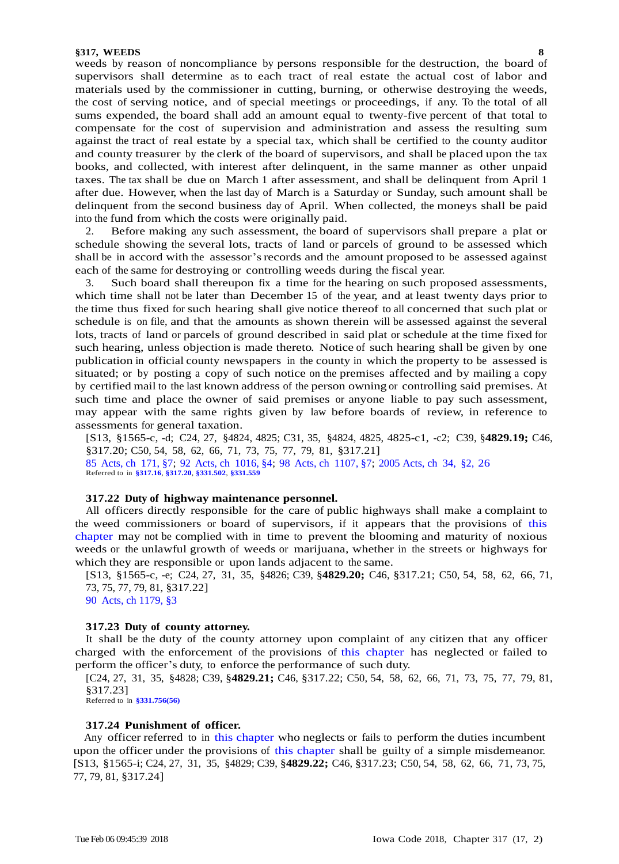weeds by reason of noncompliance by persons responsible for the destruction, the board of supervisors shall determine as to each tract of real estate the actual cost of labor and materials used by the commissioner in cutting, burning, or otherwise destroying the weeds, the cost of serving notice, and of special meetings or proceedings, if any. To the total of all sums expended, the board shall add an amount equal to twenty-five percent of that total to compensate for the cost of supervision and administration and assess the resulting sum against the tract of real estate by a special tax, which shall be certified to the county auditor and county treasurer by the clerk of the board of supervisors, and shall be placed upon the tax books, and collected, with interest after delinquent, in the same manner as other unpaid taxes. The tax shall be due on March 1 after assessment, and shall be delinquent from April 1 after due. However, when the last day of March is a Saturday or Sunday, such amount shall be delinquent from the second business day of April. When collected, the moneys shall be paid into the fund from which the costs were originally paid.

2. Before making any such assessment, the board of supervisors shall prepare a plat or schedule showing the several lots, tracts of land or parcels of ground to be assessed which shall be in accord with the assessor's records and the amount proposed to be assessed against each of the same for destroying or controlling weeds during the fiscal year.

3. Such board shall thereupon fix a time for the hearing on such proposed assessments, which time shall not be later than December 15 of the year, and at least twenty days prior to the time thus fixed for such hearing shall give notice thereof to all concerned that such plat or schedule is on file, and that the amounts as shown therein will be assessed against the several lots, tracts of land or parcels of ground described in said plat or schedule at the time fixed for such hearing, unless objection is made thereto. Notice of such hearing shall be given by one publication in official county newspapers in the county in which the property to be assessed is situated; or by posting a copy of such notice on the premises affected and by mailing a copy by certified mail to the last known address of the person owning or controlling said premises. At such time and place the owner of said premises or anyone liable to pay such assessment, may appear with the same rights given by law before boards of review, in reference to assessments for general taxation.

[S13, §1565-c, -d; C24, 27, §4824, 4825; C31, 35, §4824, 4825, 4825-c1, -c2; C39, §**4829.19;** C46, §317.20; C50, 54, 58, 62, 66, 71, 73, 75, 77, 79, 81, §317.21] 85 [Acts, ch](https://www.legis.iowa.gov/docs/acts/1985/CH0171.pdf) 171, §7; 92 Acts, ch [1016, §4;](https://www.legis.iowa.gov/docs/acts/1992/CH1016.pdf) 98 Acts, ch [1107, §7;](https://www.legis.iowa.gov/docs/acts/1998/CH1107.pdf) [2005 Acts, ch](https://www.legis.iowa.gov/docs/acts/2005/CH0034.pdf) 34, §2, 26

Referred to in **[§317.16](https://www.legis.iowa.gov/docs/code/317.16.pdf)**, **[§317.20](https://www.legis.iowa.gov/docs/code/317.20.pdf)**, **[§331.502](https://www.legis.iowa.gov/docs/code/331.502.pdf)**, **[§331.559](https://www.legis.iowa.gov/docs/code/331.559.pdf)**

#### **317.22 Duty of highway maintenance personnel.**

All officers directly responsible for the care of public highways shall make a complaint to the weed commissioners or board of supervisors, if it appears that the provisions of [this](https://www.legis.iowa.gov/docs/code/317.pdf)  [chapter](https://www.legis.iowa.gov/docs/code/317.pdf) may not be complied with in time to prevent the blooming and maturity of noxious weeds or the unlawful growth of weeds or marijuana, whether in the streets or highways for which they are responsible or upon lands adjacent to the same.

[S13, §1565-c, -e; C24, 27, 31, 35, §4826; C39, §**4829.20;** C46, §317.21; C50, 54, 58, 62, 66, 71, 73, 75, 77, 79, 81, §317.22]

90 [Acts, ch 1179, §3](https://www.legis.iowa.gov/docs/acts/1990/CH1179.pdf)

## **317.23 Duty of county attorney.**

It shall be the duty of the county attorney upon complaint of any citizen that any officer charged with the enforcement of the provisions of this [chapter](https://www.legis.iowa.gov/docs/code/317.pdf) has neglected or failed to perform the officer's duty, to enforce the performance of such duty.

[C24, 27, 31, 35, §4828; C39, §**4829.21;** C46, §317.22; C50, 54, 58, 62, 66, 71, 73, 75, 77, 79, 81, §317.23]

Referred to in **[§331.756\(56\)](https://www.legis.iowa.gov/docs/code/331.756.pdf)**

## **317.24 Punishment of officer.**

Any officer referred to in this [chapter](https://www.legis.iowa.gov/docs/code/317.pdf) who neglects or fails to perform the duties incumbent upon the officer under the provisions of this [chapter](https://www.legis.iowa.gov/docs/code/317.pdf) shall be guilty of a simple misdemeanor. [S13, §1565-i; C24, 27, 31, 35, §4829; C39, §**4829.22;** C46, §317.23; C50, 54, 58, 62, 66, 71, 73, 75, 77, 79, 81, §317.24]